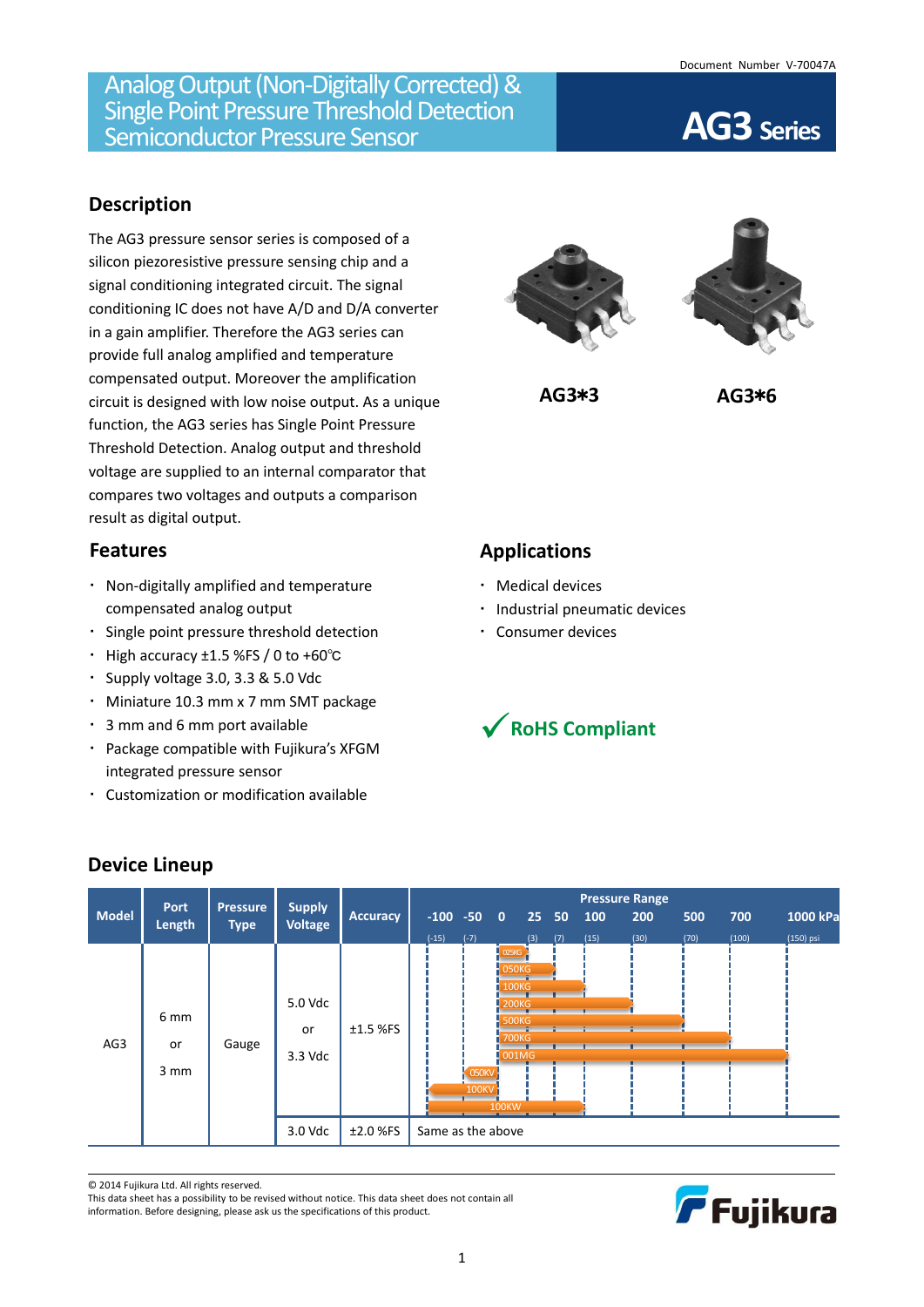# **Description**

The AG3 pressure sensor series is composed of a silicon piezoresistive pressure sensing chip and a signal conditioning integrated circuit. The signal conditioning IC does not have A/D and D/A converter in a gain amplifier. Therefore the AG3 series can provide full analog amplified and temperature compensated output. Moreover the amplification circuit is designed with low noise output. As a unique function, the AG3 series has Single Point Pressure Threshold Detection. Analog output and threshold voltage are supplied to an internal comparator that compares two voltages and outputs a comparison result as digital output.

### **Features**

- Non-digitally amplified and temperature compensated analog output
- Single point pressure threshold detection
- High accuracy ±1.5 %FS / 0 to +60℃
- Supply voltage 3.0, 3.3 & 5.0 Vdc
- Miniature 10.3 mm x 7 mm SMT package
- 3 mm and 6 mm port available
- Package compatible with Fujikura's XFGM integrated pressure sensor
- Customization or modification available





**AG3**\***3 AG3**\***6**

# **Applications**

- Medical devices
- · Industrial pneumatic devices
- Consumer devices



| <b>Model</b> | Port<br>Length                | <b>Pressure</b><br><b>Type</b> | <b>Supply</b><br>Voltage            | Accuracy                 | $-100 -50 0$<br>$(-15)$ | $(-7)$                       |                                                                                                              | 25 <sub>2</sub> | 50  | 100  | 200  | 500  | 700   | 1000 kPa  |
|--------------|-------------------------------|--------------------------------|-------------------------------------|--------------------------|-------------------------|------------------------------|--------------------------------------------------------------------------------------------------------------|-----------------|-----|------|------|------|-------|-----------|
|              |                               |                                |                                     |                          |                         |                              |                                                                                                              |                 |     |      |      |      |       |           |
| AG3          | 6 <sub>mm</sub><br>or<br>3 mm | Gauge                          | 5.0 Vdc<br>or<br>3.3 Vdc<br>3.0 Vdc | $±1.5$ %FS<br>$±2.0$ %FS | Same as the above       | $\sim$ 050KV<br><b>100KV</b> | $-025KG$<br>$-050K$<br><b>100KG</b><br><b>200KG</b><br>500KG<br><b>700KG</b><br>$\log$ 001MG<br><b>100KW</b> | (3)             | (7) | (15) | (30) | (70) | (100) | (150) psi |

**Device Lineup**

© 2014 Fujikura Ltd. All rights reserved.

This data sheet has a possibility to be revised without notice. This data sheet does not contain all information. Before designing, please ask us the specifications of this product.

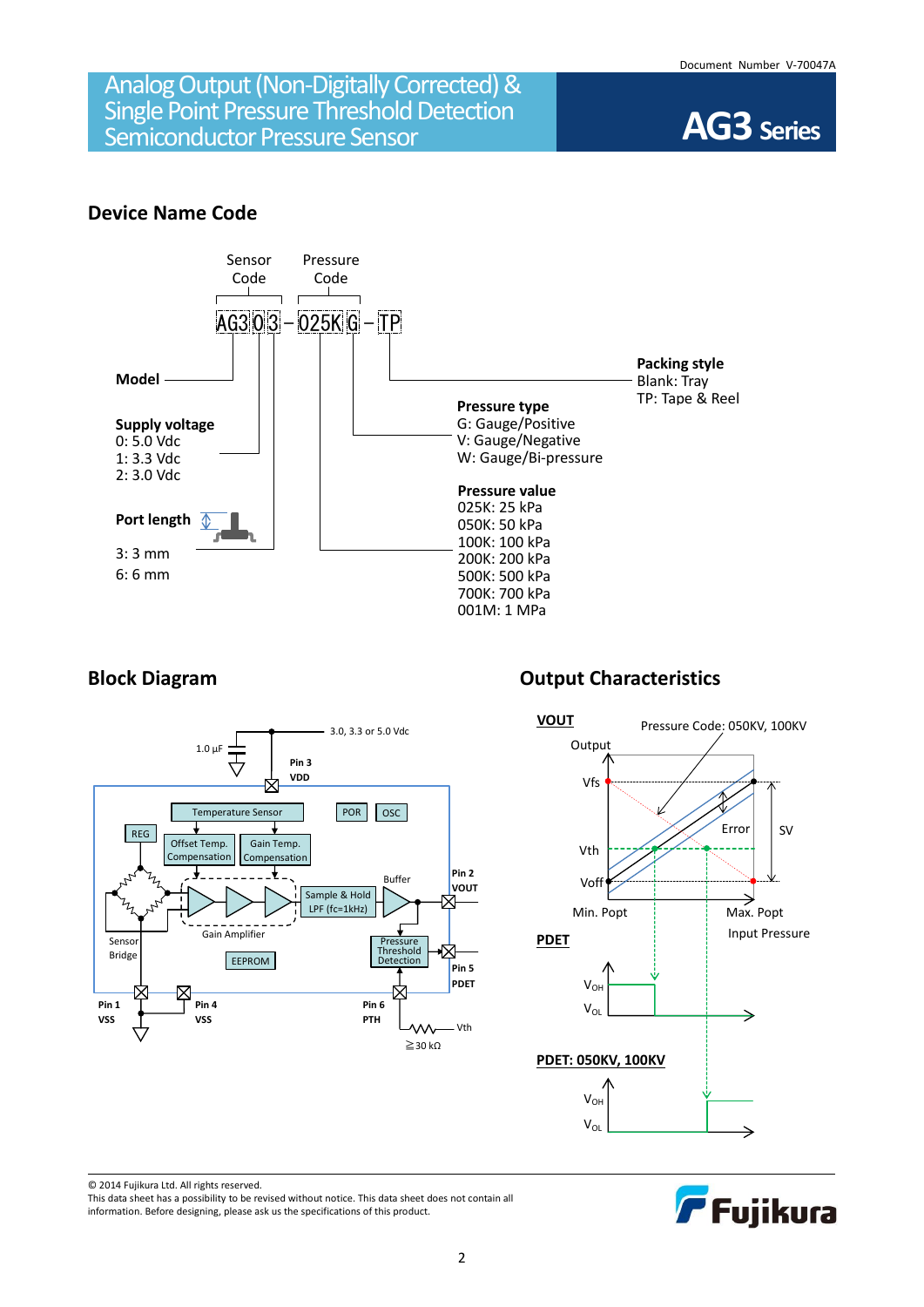

### **Device Name Code**





# **Block Diagram Diagram Output Characteristics**





© 2014 Fujikura Ltd. All rights reserved.

This data sheet has a possibility to be revised without notice. This data sheet does not contain all information. Before designing, please ask us the specifications of this product.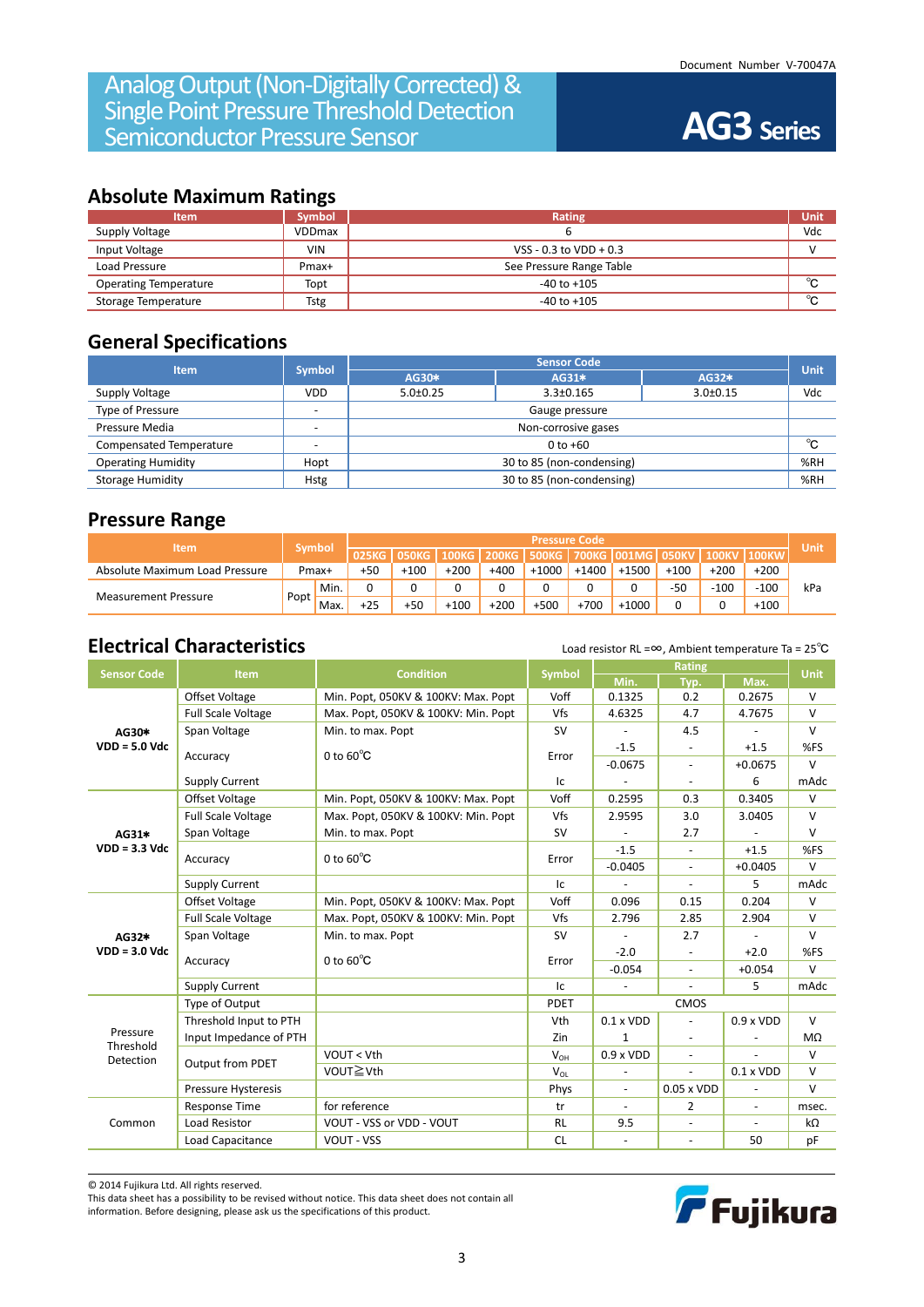## **Absolute Maximum Ratings**

| <b>Item</b>                  | <b>Symbol</b> | Rating                   | Unit   |
|------------------------------|---------------|--------------------------|--------|
| Supply Voltage               | <b>VDDmax</b> |                          | Vdc    |
| Input Voltage                | <b>VIN</b>    | VSS - $0.3$ to VDD + 0.3 |        |
| Load Pressure                | Pmax+         | See Pressure Range Table |        |
| <b>Operating Temperature</b> | Topt          | $-40$ to $+105$          | $\sim$ |
| Storage Temperature          | Tstg          | $-40$ to $+105$          | $\sim$ |

## **General Specifications**

| <b>Item</b>               | <b>Symbol</b> | <b>Sensor Code</b>        |                     |                |             |  |  |  |
|---------------------------|---------------|---------------------------|---------------------|----------------|-------------|--|--|--|
|                           |               | AG30*                     | AG31*               | AG32*          | <b>Unit</b> |  |  |  |
| Supply Voltage            | <b>VDD</b>    | $5.0+0.25$                | $3.3 \pm 0.165$     | $3.0 \pm 0.15$ | Vdc         |  |  |  |
| Type of Pressure          |               | Gauge pressure            |                     |                |             |  |  |  |
| Pressure Media            |               |                           | Non-corrosive gases |                |             |  |  |  |
| Compensated Temperature   |               | $0$ to $+60$              |                     |                |             |  |  |  |
| <b>Operating Humidity</b> | Hopt          | 30 to 85 (non-condensing) |                     |                |             |  |  |  |
| <b>Storage Humidity</b>   | <b>Hstg</b>   | 30 to 85 (non-condensing) |                     |                |             |  |  |  |

### **Pressure Range**

| <b>Item</b>                    |        |         | <b>Pressure Code</b> |        |              |              |         |         |                               |        | Unit         |              |     |
|--------------------------------|--------|---------|----------------------|--------|--------------|--------------|---------|---------|-------------------------------|--------|--------------|--------------|-----|
|                                |        | 'Symbol | 025KG                | 050KG  | <b>100KG</b> | <b>200KG</b> |         |         | 500KG   700KG   001MG   050KV |        | <b>100KV</b> | <b>100KW</b> |     |
| Absolute Maximum Load Pressure | Pmax+  |         | $+50$                | $+100$ | $+200$       | $+400$       | $+1000$ | $+1400$ | $+150$                        | $+100$ | $+200$       | $+200$       |     |
|                                |        | ' Min.  | 0                    |        |              |              |         | u       |                               | $-50$  | $-100$       | $-100$       | kPa |
| <b>Measurement Pressure</b>    | 'Popt, | Max.    | $+25$                | $+50$  | $+100$       | $+200$       | $+500$  | $+700$  | $+1000$                       |        |              | $+100$       |     |

# **Electrical Characteristics** Load resistor RL =∞, Ambient temperature Ta = 25<sup>°</sup>C

| <b>Sensor Code</b>                 | <b>Item</b>               | <b>Condition</b>                    | <b>Symbol</b> |                          | <b>Unit</b>              |                                                                                                                                                                                                                                        |        |
|------------------------------------|---------------------------|-------------------------------------|---------------|--------------------------|--------------------------|----------------------------------------------------------------------------------------------------------------------------------------------------------------------------------------------------------------------------------------|--------|
|                                    |                           |                                     |               | Min.                     | Typ.                     | Max.                                                                                                                                                                                                                                   |        |
|                                    | Offset Voltage            | Min. Popt, 050KV & 100KV: Max. Popt | Voff          | 0.1325                   | 0.2                      |                                                                                                                                                                                                                                        | $\vee$ |
|                                    | <b>Full Scale Voltage</b> | Max. Popt, 050KV & 100KV: Min. Popt | Vfs           | 4.6325                   | 4.7                      | 0.2675<br>4.7675<br>$+1.5$<br>$+0.0675$<br>6<br>0.3405<br>3.0405<br>$+1.5$<br>$+0.0405$<br>5<br>0.204<br>2.904<br>$+2.0$<br>$+0.054$<br>5.<br>$0.9 \times VDD$<br>$\overline{a}$<br>$0.1 \times VDD$<br>$\overline{\phantom{a}}$<br>50 | v      |
| AG30*                              | Span Voltage              | Min. to max. Popt                   | <b>SV</b>     |                          | 4.5                      |                                                                                                                                                                                                                                        | $\vee$ |
| $VDD = 5.0$ Vdc                    |                           | 0 to $60^{\circ}$ C                 | Error         | $-1.5$                   | $\overline{\phantom{a}}$ |                                                                                                                                                                                                                                        | %FS    |
|                                    | Accuracy                  |                                     |               | $-0.0675$                | $\overline{\phantom{a}}$ |                                                                                                                                                                                                                                        | $\vee$ |
|                                    | <b>Supply Current</b>     |                                     | Ic            | $\blacksquare$           | $\sim$                   |                                                                                                                                                                                                                                        | mAdc   |
|                                    | <b>Offset Voltage</b>     | Min. Popt, 050KV & 100KV: Max. Popt | Voff          | 0.2595                   | 0.3                      |                                                                                                                                                                                                                                        | $\vee$ |
|                                    | <b>Full Scale Voltage</b> | Max. Popt, 050KV & 100KV: Min. Popt | Vfs           | 2.9595                   | 3.0                      |                                                                                                                                                                                                                                        | $\vee$ |
| AG31*                              | Span Voltage              | Min. to max. Popt                   | <b>SV</b>     |                          | 2.7                      |                                                                                                                                                                                                                                        | v      |
| $VDD = 3.3$ Vdc                    |                           | 0 to $60^{\circ}$ C                 |               | $-1.5$                   |                          |                                                                                                                                                                                                                                        | %FS    |
|                                    | Accuracy                  |                                     | Error         | $-0.0405$                | $\overline{\phantom{a}}$ |                                                                                                                                                                                                                                        | v      |
|                                    | <b>Supply Current</b>     |                                     | Ic            |                          |                          |                                                                                                                                                                                                                                        | mAdc   |
|                                    | <b>Offset Voltage</b>     | Min. Popt, 050KV & 100KV: Max. Popt | Voff          | 0.096                    | 0.15                     |                                                                                                                                                                                                                                        | V      |
|                                    | <b>Full Scale Voltage</b> | Max. Popt, 050KV & 100KV: Min. Popt | Vfs           | 2.796                    | 2.85                     |                                                                                                                                                                                                                                        | v      |
| AG32*                              | Span Voltage              | Min. to max. Popt                   | <b>SV</b>     |                          | 2.7                      |                                                                                                                                                                                                                                        | $\vee$ |
| $VDD = 3.0$ Vdc                    |                           |                                     |               | $-2.0$                   |                          |                                                                                                                                                                                                                                        | %FS    |
|                                    | Accuracy                  | 0 to $60^{\circ}$ C                 | Error         | $-0.054$                 | $\overline{a}$           |                                                                                                                                                                                                                                        | v      |
|                                    | <b>Supply Current</b>     |                                     | Ic            | $\blacksquare$           | $\overline{a}$           |                                                                                                                                                                                                                                        | mAdc   |
|                                    | Type of Output            |                                     | <b>PDET</b>   |                          | CMOS                     |                                                                                                                                                                                                                                        |        |
|                                    | Threshold Input to PTH    |                                     | Vth           | $0.1 \times VDD$         | $\blacksquare$           |                                                                                                                                                                                                                                        | $\vee$ |
|                                    | Input Impedance of PTH    |                                     | Zin           | 1                        |                          |                                                                                                                                                                                                                                        | MΩ     |
|                                    |                           | VOUT < Vth                          | $V_{OH}$      | $0.9 \times VDD$         | $\blacksquare$           |                                                                                                                                                                                                                                        | v      |
|                                    | <b>Output from PDET</b>   | VOUT≧Vth                            | $V_{OL}$      |                          |                          |                                                                                                                                                                                                                                        | v      |
|                                    | Pressure Hysteresis       |                                     | Phys          | $\blacksquare$           | $0.05 \times VDD$        |                                                                                                                                                                                                                                        | V      |
| Pressure<br>Threshold<br>Detection | <b>Response Time</b>      | for reference                       | tr            | $\sim$                   | 2                        |                                                                                                                                                                                                                                        | msec.  |
| Common                             | <b>Load Resistor</b>      | VOUT - VSS or VDD - VOUT            | <b>RL</b>     | 9.5                      |                          |                                                                                                                                                                                                                                        | kΩ     |
|                                    | Load Capacitance          | <b>VOUT - VSS</b>                   | <b>CL</b>     | $\overline{\phantom{a}}$ | $\omega$                 |                                                                                                                                                                                                                                        | pF     |

© 2014 Fujikura Ltd. All rights reserved.

This data sheet has a possibility to be revised without notice. This data sheet does not contain all information. Before designing, please ask us the specifications of this product.